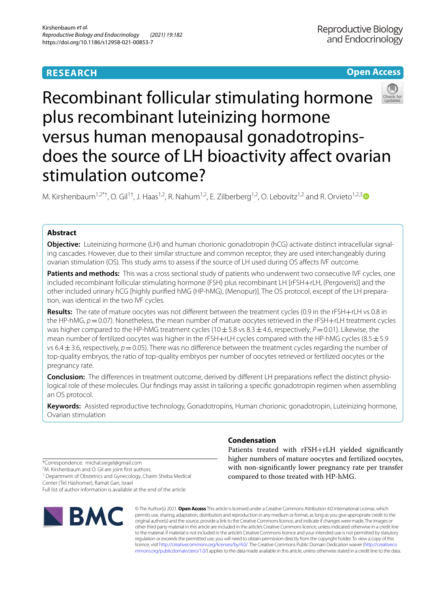# **RESEARCH**





# Recombinant follicular stimulating hormone plus recombinant luteinizing hormone versus human menopausal gonadotropinsdoes the source of LH bioactivity affect ovarian stimulation outcome?

M. Kirshenbaum<sup>1,2\*†</sup>, O. Gil<sup>1†</sup>, J. Haas<sup>1,2</sup>, R. Nahum<sup>1,2</sup>, E. Zilberberg<sup>1,2</sup>, O. Lebovitz<sup>1,2</sup> and R. Orvieto<sup>1,2,[3](http://orcid.org/0000-0002-0865-1196)</sup>

## **Abstract**

**Objective:** Luteinizing hormone (LH) and human chorionic gonadotropin (hCG) activate distinct intracellular signaling cascades. However, due to their similar structure and common receptor, they are used interchangeably during ovarian stimulation (OS). This study aims to assess if the source of LH used during OS afects IVF outcome.

**Patients and methods:** This was a cross sectional study of patients who underwent two consecutive IVF cycles, one included recombinant follicular stimulating hormone (FSH) plus recombinant LH [rFSH+rLH, (Pergoveris)] and the other included urinary hCG [highly purifed hMG (HP-hMG), (Menopur)]. The OS protocol, except of the LH preparation, was identical in the two IVF cycles.

**Results:** The rate of mature oocytes was not diferent between the treatment cycles (0.9 in the rFSH+rLH vs 0.8 in the HP-hMG,  $p=0.07$ ). Nonetheless, the mean number of mature oocytes retrieved in the rFSH+rLH treatment cycles was higher compared to the HP-hMG treatment cycles ( $10\pm5.8$  vs  $8.3\pm4.6$ , respectively,  $P=0.01$ ). Likewise, the mean number of fertilized oocytes was higher in the rFSH+rLH cycles compared with the HP-hMG cycles (8.5 $\pm$ 5.9 vs 6.4 $\pm$ 3.6, respectively,  $p=0.05$ ). There was no difference between the treatment cycles regarding the number of top-quality embryos, the ratio of top-quality embryos per number of oocytes retrieved or fertilized oocytes or the pregnancy rate.

**Conclusion:** The diferences in treatment outcome, derived by diferent LH preparations refect the distinct physiological role of these molecules. Our findings may assist in tailoring a specific gonadotropin regimen when assembling an OS protocol.

**Keywords:** Assisted reproductive technology, Gonadotropins, Human chorionic gonadotropin, Luteinizing hormone, Ovarian stimulation

**Condensation**

Patients treated with rFSH+rLH yielded signifcantly higher numbers of mature oocytes and fertilized oocytes, with non-signifcantly lower pregnancy rate per transfer compared to those treated with HP-hMG.

\*Correspondence: michal.siegel@gmail.com

† M. Kirshenbaum and O. Gil are joint frst authors.

<sup>1</sup> Department of Obstetrics and Gynecology, Chaim Sheba Medical Center (Tel Hashomer), Ramat Gan, Israel Full list of author information is available at the end of the article



© The Author(s) 2021. **Open Access** This article is licensed under a Creative Commons Attribution 4.0 International License, which permits use, sharing, adaptation, distribution and reproduction in any medium or format, as long as you give appropriate credit to the original author(s) and the source, provide a link to the Creative Commons licence, and indicate if changes were made. The images or other third party material in this article are included in the article's Creative Commons licence, unless indicated otherwise in a credit line to the material. If material is not included in the article's Creative Commons licence and your intended use is not permitted by statutory regulation or exceeds the permitted use, you will need to obtain permission directly from the copyright holder. To view a copy of this licence, visit [http://creativecommons.org/licenses/by/4.0/.](http://creativecommons.org/licenses/by/4.0/) The Creative Commons Public Domain Dedication waiver ([http://creativeco](http://creativecommons.org/publicdomain/zero/1.0/) [mmons.org/publicdomain/zero/1.0/](http://creativecommons.org/publicdomain/zero/1.0/)) applies to the data made available in this article, unless otherwise stated in a credit line to the data.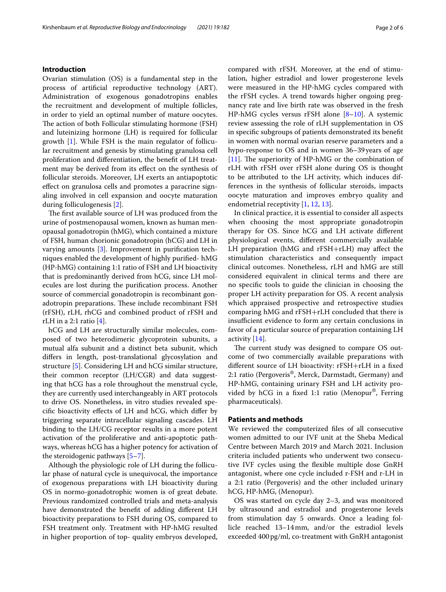### **Introduction**

Ovarian stimulation (OS) is a fundamental step in the process of artifcial reproductive technology (ART). Administration of exogenous gonadotropins enables the recruitment and development of multiple follicles, in order to yield an optimal number of mature oocytes. The action of both Follicular stimulating hormone (FSH) and luteinizing hormone (LH) is required for follicular growth [[1\]](#page-5-0). While FSH is the main regulator of follicular recruitment and genesis by stimulating granulosa cell proliferation and diferentiation, the beneft of LH treatment may be derived from its efect on the synthesis of follicular steroids. Moreover, LH exerts an antiapoptotic efect on granulosa cells and promotes a paracrine signaling involved in cell expansion and oocyte maturation during folliculogenesis [\[2](#page-5-1)].

The first available source of LH was produced from the urine of postmenopausal women, known as human menopausal gonadotropin (hMG), which contained a mixture of FSH, human chorionic gonadotropin (hCG) and LH in varying amounts [\[3](#page-5-2)]. Improvement in purifcation techniques enabled the development of highly purifed- hMG (HP-hMG) containing 1:1 ratio of FSH and LH bioactivity that is predominantly derived from hCG, since LH molecules are lost during the purifcation process. Another source of commercial gonadotropin is recombinant gonadotropin preparations. These include recombinant FSH (rFSH), rLH, rhCG and combined product of rFSH and rLH in a 2:1 ratio [\[4\]](#page-5-3).

hCG and LH are structurally similar molecules, composed of two heterodimeric glycoprotein subunits, a mutual alfa subunit and a distinct beta subunit, which difers in length, post-translational glycosylation and structure [[5\]](#page-5-4). Considering LH and hCG similar structure, their common receptor (LH/CGR) and data suggesting that hCG has a role throughout the menstrual cycle, they are currently used interchangeably in ART protocols to drive OS. Nonetheless, in vitro studies revealed specifc bioactivity efects of LH and hCG, which difer by triggering separate intracellular signaling cascades. LH binding to the LH/CG receptor results in a more potent activation of the proliferative and anti-apoptotic pathways, whereas hCG has a higher potency for activation of the steroidogenic pathways [[5–](#page-5-4)[7\]](#page-5-5).

Although the physiologic role of LH during the follicular phase of natural cycle is unequivocal, the importance of exogenous preparations with LH bioactivity during OS in normo-gonadotrophic women is of great debate. Previous randomized controlled trials and meta-analysis have demonstrated the beneft of adding diferent LH bioactivity preparations to FSH during OS, compared to FSH treatment only. Treatment with HP-hMG resulted in higher proportion of top- quality embryos developed, compared with rFSH. Moreover, at the end of stimulation, higher estradiol and lower progesterone levels were measured in the HP-hMG cycles compared with the rFSH cycles. A trend towards higher ongoing pregnancy rate and live birth rate was observed in the fresh HP-hMG cycles versus rFSH alone [[8–](#page-5-6)[10](#page-5-7)]. A systemic review assessing the role of rLH supplementation in OS in specifc subgroups of patients demonstrated its beneft in women with normal ovarian reserve parameters and a hypo-response to OS and in women 36–39years of age [[11\]](#page-5-8). The superiority of HP-hMG or the combination of rLH with rFSH over rFSH alone during OS is thought to be attributed to the LH activity, which induces differences in the synthesis of follicular steroids, impacts oocyte maturation and improves embryo quality and endometrial receptivity [[1,](#page-5-0) [12,](#page-5-9) [13](#page-5-10)].

In clinical practice, it is essential to consider all aspects when choosing the most appropriate gonadotropin therapy for OS. Since hCG and LH activate diferent physiological events, diferent commercially available LH preparation (hMG and rFSH+rLH) may afect the stimulation characteristics and consequently impact clinical outcomes. Nonetheless, rLH and hMG are still considered equivalent in clinical terms and there are no specifc tools to guide the clinician in choosing the proper LH activity preparation for OS. A recent analysis which appraised prospective and retrospective studies comparing hMG and rFSH+rLH concluded that there is insufficient evidence to form any certain conclusions in favor of a particular source of preparation containing LH activity [[14\]](#page-5-11).

The current study was designed to compare OS outcome of two commercially available preparations with diferent source of LH bioactivity: rFSH+rLH in a fxed 2:1 ratio (Pergoveris®, Merck, Darmstadt, Germany) and HP-hMG, containing urinary FSH and LH activity provided by hCG in a fixed 1:1 ratio (Menopur<sup>®</sup>, Ferring pharmaceuticals).

### **Patients and methods**

We reviewed the computerized fles of all consecutive women admitted to our IVF unit at the Sheba Medical Centre between March 2019 and March 2021. Inclusion criteria included patients who underwent two consecutive IVF cycles using the fexible multiple dose GnRH antagonist, where one cycle included r-FSH and r-LH in a 2:1 ratio (Pergoveris) and the other included urinary hCG, HP-hMG, (Menopur).

OS was started on cycle day 2–3, and was monitored by ultrasound and estradiol and progesterone levels from stimulation day 5 onwards. Once a leading follicle reached 13–14mm, and/or the estradiol levels exceeded 400pg/ml, co-treatment with GnRH antagonist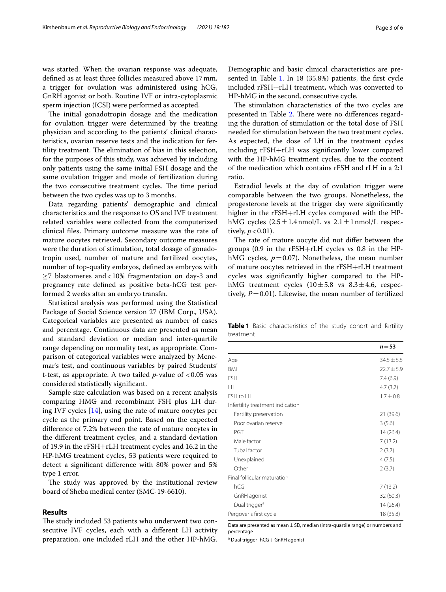was started. When the ovarian response was adequate, defned as at least three follicles measured above 17mm, a trigger for ovulation was administered using hCG, GnRH agonist or both. Routine IVF or intra-cytoplasmic sperm injection (ICSI) were performed as accepted.

The initial gonadotropin dosage and the medication for ovulation trigger were determined by the treating physician and according to the patients' clinical characteristics, ovarian reserve tests and the indication for fertility treatment. The elimination of bias in this selection, for the purposes of this study, was achieved by including only patients using the same initial FSH dosage and the same ovulation trigger and mode of fertilization during the two consecutive treatment cycles. The time period between the two cycles was up to 3 months.

Data regarding patients' demographic and clinical characteristics and the response to OS and IVF treatment related variables were collected from the computerized clinical fles. Primary outcome measure was the rate of mature oocytes retrieved. Secondary outcome measures were the duration of stimulation, total dosage of gonadotropin used, number of mature and fertilized oocytes, number of top-quality embryos, defned as embryos with  $\geq$ 7 blastomeres and<10% fragmentation on day-3 and pregnancy rate defned as positive beta-hCG test performed 2 weeks after an embryo transfer.

Statistical analysis was performed using the Statistical Package of Social Science version 27 (IBM Corp., USA). Categorical variables are presented as number of cases and percentage. Continuous data are presented as mean and standard deviation or median and inter-quartile range depending on normality test, as appropriate. Comparison of categorical variables were analyzed by Mcnemar's test, and continuous variables by paired Students' t-test, as appropriate. A two tailed  $p$ -value of  $< 0.05$  was considered statistically signifcant.

Sample size calculation was based on a recent analysis comparing HMG and recombinant FSH plus LH during IVF cycles [[14](#page-5-11)], using the rate of mature oocytes per cycle as the primary end point. Based on the expected diference of 7.2% between the rate of mature oocytes in the diferent treatment cycles, and a standard deviation of 19.9 in the rFSH+rLH treatment cycles and 16.2 in the HP-hMG treatment cycles, 53 patients were required to detect a signifcant diference with 80% power and 5% type 1 error.

The study was approved by the institutional review board of Sheba medical center (SMC-19-6610).

#### **Results**

The study included 53 patients who underwent two consecutive IVF cycles, each with a diferent LH activity preparation, one included rLH and the other HP-hMG. Demographic and basic clinical characteristics are pre-sented in Table [1](#page-2-0). In 18 (35.8%) patients, the first cycle included rFSH+rLH treatment, which was converted to HP-hMG in the second, consecutive cycle.

The stimulation characteristics of the two cycles are presented in Table [2.](#page-3-0) There were no differences regarding the duration of stimulation or the total dose of FSH needed for stimulation between the two treatment cycles. As expected, the dose of LH in the treatment cycles including rFSH+rLH was signifcantly lower compared with the HP-hMG treatment cycles, due to the content of the medication which contains rFSH and rLH in a 2:1 ratio.

Estradiol levels at the day of ovulation trigger were comparable between the two groups. Nonetheless, the progesterone levels at the trigger day were signifcantly higher in the rFSH+rLH cycles compared with the HPhMG cycles  $(2.5 \pm 1.4 \text{ nmol/L}$  vs  $2.1 \pm 1 \text{ nmol/L}$  respectively,  $p < 0.01$ ).

The rate of mature oocyte did not differ between the groups (0.9 in the rFSH+rLH cycles vs 0.8 in the HPhMG cycles,  $p=0.07$ ). Nonetheless, the mean number of mature oocytes retrieved in the rFSH+rLH treatment cycles was signifcantly higher compared to the HPhMG treatment cycles  $(10 \pm 5.8 \text{ vs } 8.3 \pm 4.6, \text{ respectively})$ tively,  $P=0.01$ ). Likewise, the mean number of fertilized

<span id="page-2-0"></span>**Table 1** Basic characteristics of the study cohort and fertility treatment

|                                  | $n = 53$       |
|----------------------------------|----------------|
| Age                              | $34.5 \pm 5.5$ |
| <b>BMI</b>                       | $22.7 \pm 5.9$ |
| <b>FSH</b>                       | 7.4(6,9)       |
| LН                               | 4.7(3,7)       |
| FSH to LH                        | $1.7 \pm 0.8$  |
| Infertility treatment indication |                |
| Fertility preservation           | 21 (39.6)      |
| Poor ovarian reserve             | 3(5.6)         |
| PGT                              | 14(26.4)       |
| Male factor                      | 7(13.2)        |
| Tubal factor                     | 2(3.7)         |
| Unexplained                      | 4(7.5)         |
| Other                            | 2(3.7)         |
| Final follicular maturation      |                |
| hCG                              | 7(13.2)        |
| GnRH agonist                     | 32(60.3)       |
| Dual trigger <sup>a</sup>        | 14(26.4)       |
| Pergoveris first cycle           | 18 (35.8)      |
|                                  |                |

Data are presented as mean $\pm$  SD, median (intra-quartile range) or numbers and percentage

<sup>a</sup> Dual trigger- hCG + GnRH agonist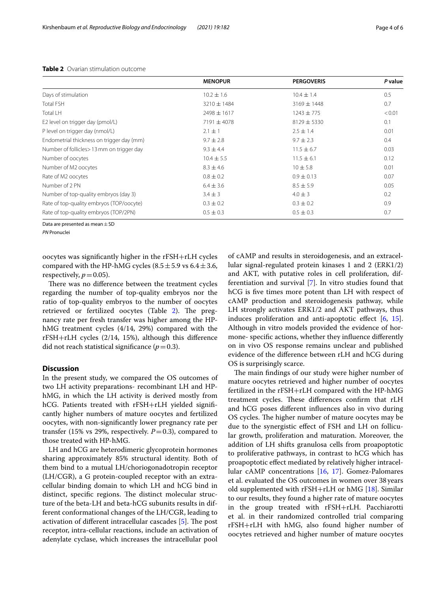|                                            | <b>MENOPUR</b>  | <b>PERGOVERIS</b> | P value |
|--------------------------------------------|-----------------|-------------------|---------|
| Days of stimulation                        | $10.2 \pm 1.6$  | $10.4 \pm 1.4$    | 0.5     |
| <b>Total FSH</b>                           | $3210 \pm 1484$ | $3169 \pm 1448$   | 0.7     |
| <b>Total LH</b>                            | $2498 \pm 1617$ | $1243 \pm 775$    | < 0.01  |
| E2 level on trigger day (pmol/L)           | $7191 \pm 4078$ | $8129 \pm 5330$   | 0.1     |
| P level on trigger day (nmol/L)            | $2.1 \pm 1$     | $2.5 \pm 1.4$     | 0.01    |
| Endometrial thickness on trigger day (mm)  | $9.7 \pm 2.8$   | $9.7 \pm 2.3$     | 0.4     |
| Number of follicles > 13 mm on trigger day | $9.3 \pm 4.4$   | $11.5 \pm 6.7$    | 0.03    |
| Number of oocytes                          | $10.4 \pm 5.5$  | $11.5 \pm 6.1$    | 0.12    |
| Number of M2 oocytes                       | $8.3 \pm 4.6$   | $10 \pm 5.8$      | 0.01    |
| Rate of M2 oocytes                         | $0.8 \pm 0.2$   | $0.9 \pm 0.13$    | 0.07    |
| Number of 2 PN                             | $6.4 \pm 3.6$   | $8.5 \pm 5.9$     | 0.05    |
| Number of top-quality embryos (day 3)      | $3.4 \pm 3$     | $4.0 \pm 3$       | 0.2     |
| Rate of top-quality embryos (TOP/oocyte)   | $0.3 \pm 0.2$   | $0.3 \pm 0.2$     | 0.9     |
| Rate of top-quality embryos (TOP/2PN)      | $0.5 \pm 0.3$   | $0.5 \pm 0.3$     | 0.7     |

#### <span id="page-3-0"></span>**Table 2** Ovarian stimulation outcome

Data are presented as mean  $\pm$  SD

**PN** Pronucle

oocytes was signifcantly higher in the rFSH+rLH cycles compared with the HP-hMG cycles  $(8.5 \pm 5.9 \text{ vs } 6.4 \pm 3.6,$ respectively,  $p=0.05$ ).

There was no difference between the treatment cycles regarding the number of top-quality embryos nor the ratio of top-quality embryos to the number of oocytes retrieved or fertilized oocytes (Table [2\)](#page-3-0). The pregnancy rate per fresh transfer was higher among the HPhMG treatment cycles (4/14, 29%) compared with the rFSH+rLH cycles (2/14, 15%), although this diference did not reach statistical significance  $(p=0.3)$ .

#### **Discussion**

In the present study, we compared the OS outcomes of two LH activity preparations- recombinant LH and HPhMG, in which the LH activity is derived mostly from hCG. Patients treated with rFSH+rLH yielded signifcantly higher numbers of mature oocytes and fertilized oocytes, with non-signifcantly lower pregnancy rate per transfer (15% vs 29%, respectively.  $P=0.3$ ), compared to those treated with HP-hMG.

LH and hCG are heterodimeric glycoprotein hormones sharing approximately 85% structural identity. Both of them bind to a mutual LH/choriogonadotropin receptor (LH/CGR), a G protein-coupled receptor with an extracellular binding domain to which LH and hCG bind in distinct, specific regions. The distinct molecular structure of the beta-LH and beta-hCG subunits results in different conformational changes of the LH/CGR, leading to activation of different intracellular cascades  $[5]$  $[5]$ . The post receptor, intra-cellular reactions, include an activation of adenylate cyclase, which increases the intracellular pool

of cAMP and results in steroidogenesis, and an extracellular signal-regulated protein kinases 1 and 2 (ERK1/2) and AKT, with putative roles in cell proliferation, differentiation and survival [[7](#page-5-5)]. In vitro studies found that hCG is fve times more potent than LH with respect of cAMP production and steroidogenesis pathway, while LH strongly activates ERK1/2 and AKT pathways, thus induces proliferation and anti-apoptotic effect  $[6, 15]$  $[6, 15]$  $[6, 15]$  $[6, 15]$ . Although in vitro models provided the evidence of hormone- specifc actions, whether they infuence diferently on in vivo OS response remains unclear and published evidence of the diference between rLH and hCG during OS is surprisingly scarce.

The main findings of our study were higher number of mature oocytes retrieved and higher number of oocytes fertilized in the rFSH+rLH compared with the HP-hMG treatment cycles. These differences confirm that rLH and hCG poses diferent infuences also in vivo during OS cycles. The higher number of mature oocytes may be due to the synergistic efect of FSH and LH on follicular growth, proliferation and maturation. Moreover, the addition of LH shifts granulosa cells from proapoptotic to proliferative pathways, in contrast to hCG which has proapoptotic efect mediated by relatively higher intracellular cAMP concentrations [[16,](#page-5-14) [17](#page-5-15)]. Gomez-Palomares et al. evaluated the OS outcomes in women over 38years old supplemented with rFSH+rLH or hMG [\[18\]](#page-5-16). Similar to our results, they found a higher rate of mature oocytes in the group treated with rFSH+rLH. Pacchiarotti et al. in their randomized controlled trial comparing rFSH+rLH with hMG, also found higher number of oocytes retrieved and higher number of mature oocytes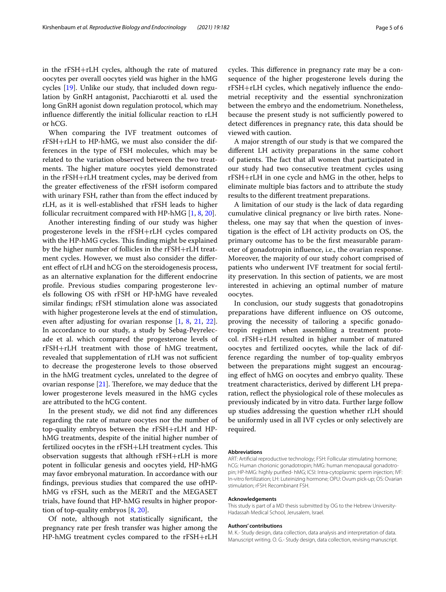in the rFSH+rLH cycles, although the rate of matured oocytes per overall oocytes yield was higher in the hMG cycles [\[19\]](#page-5-17). Unlike our study, that included down regulation by GnRH antagonist, Pacchiarotti et al. used the long GnRH agonist down regulation protocol, which may infuence diferently the initial follicular reaction to rLH or hCG.

When comparing the IVF treatment outcomes of rFSH+rLH to HP-hMG, we must also consider the differences in the type of FSH molecules, which may be related to the variation observed between the two treatments. The higher mature oocytes yield demonstrated in the rFSH+rLH treatment cycles, may be derived from the greater efectiveness of the rFSH isoform compared with urinary FSH, rather than from the effect induced by rLH, as it is well-established that rFSH leads to higher follicular recruitment compared with HP-hMG [[1,](#page-5-0) [8](#page-5-6), [20](#page-5-18)].

Another interesting fnding of our study was higher progesterone levels in the rFSH+rLH cycles compared with the HP-hMG cycles. This finding might be explained by the higher number of follicles in the rFSH+rLH treatment cycles. However, we must also consider the diferent effect of rLH and hCG on the steroidogenesis process, as an alternative explanation for the diferent endocrine profle. Previous studies comparing progesterone levels following OS with rFSH or HP-hMG have revealed similar fndings; rFSH stimulation alone was associated with higher progesterone levels at the end of stimulation, even after adjusting for ovarian response [\[1](#page-5-0), [8](#page-5-6), [21](#page-5-19), [22](#page-5-20)]. In accordance to our study, a study by Sebag-Peyrelecade et al. which compared the progesterone levels of rFSH+rLH treatment with those of hMG treatment, revealed that supplementation of rLH was not sufficient to decrease the progesterone levels to those observed in the hMG treatment cycles, unrelated to the degree of ovarian response  $[21]$  $[21]$ . Therefore, we may deduce that the lower progesterone levels measured in the hMG cycles are attributed to the hCG content.

In the present study, we did not fnd any diferences regarding the rate of mature oocytes nor the number of top-quality embryos between the rFSH+rLH and HPhMG treatments, despite of the initial higher number of fertilized oocytes in the rFSH+LH treatment cycles. This observation suggests that although rFSH+rLH is more potent in follicular genesis and oocytes yield, HP-hMG may favor embryonal maturation. In accordance with our fndings, previous studies that compared the use ofHPhMG vs rFSH, such as the MERiT and the MEGASET trials, have found that HP-hMG results in higher proportion of top-quality embryos [\[8](#page-5-6), [20\]](#page-5-18).

Of note, although not statistically signifcant, the pregnancy rate per fresh transfer was higher among the HP-hMG treatment cycles compared to the rFSH+rLH cycles. This difference in pregnancy rate may be a consequence of the higher progesterone levels during the rFSH+rLH cycles, which negatively infuence the endometrial receptivity and the essential synchronization between the embryo and the endometrium. Nonetheless, because the present study is not sufficiently powered to detect diferences in pregnancy rate, this data should be viewed with caution.

A major strength of our study is that we compared the diferent LH activity preparations in the same cohort of patients. The fact that all women that participated in our study had two consecutive treatment cycles using rFSH+rLH in one cycle and hMG in the other, helps to eliminate multiple bias factors and to attribute the study results to the diferent treatment preparations.

A limitation of our study is the lack of data regarding cumulative clinical pregnancy or live birth rates. Nonetheless, one may say that when the question of investigation is the efect of LH activity products on OS, the primary outcome has to be the frst measurable parameter of gonadotropin infuence, i.e., the ovarian response. Moreover, the majority of our study cohort comprised of patients who underwent IVF treatment for social fertility preservation. In this section of patients, we are most interested in achieving an optimal number of mature oocytes.

In conclusion, our study suggests that gonadotropins preparations have diferent infuence on OS outcome, proving the necessity of tailoring a specifc gonadotropin regimen when assembling a treatment protocol. rFSH+rLH resulted in higher number of matured oocytes and fertilized oocytes, while the lack of difference regarding the number of top-quality embryos between the preparations might suggest an encouraging effect of hMG on oocytes and embryo quality. These treatment characteristics, derived by diferent LH preparation, refect the physiological role of these molecules as previously indicated by in vitro data. Further large follow up studies addressing the question whether rLH should be uniformly used in all IVF cycles or only selectively are required.

#### **Abbreviations**

ART: Artifcial reproductive technology; FSH: Follicular stimulating hormone; hCG: Human chorionic gonadotropin; hMG: human menopausal gonadotropin; HP-hMG: highly purifed- hMG; ICSI: Intra-cytoplasmic sperm injection; IVF: In-vitro fertilization; LH: Luteinizing hormone; OPU: Ovum pick-up; OS: Ovarian stimulation; rFSH: Recombinant FSH.

#### **Acknowledgements**

This study is part of a MD thesis submitted by OG to the Hebrew University-Hadassah Medical School, Jerusalem, Israel.

#### **Authors' contributions**

M. K.- Study design, data collection, data analysis and interpretation of data. Manuscript writing. O. G.- Study design, data collection, revising manuscript.